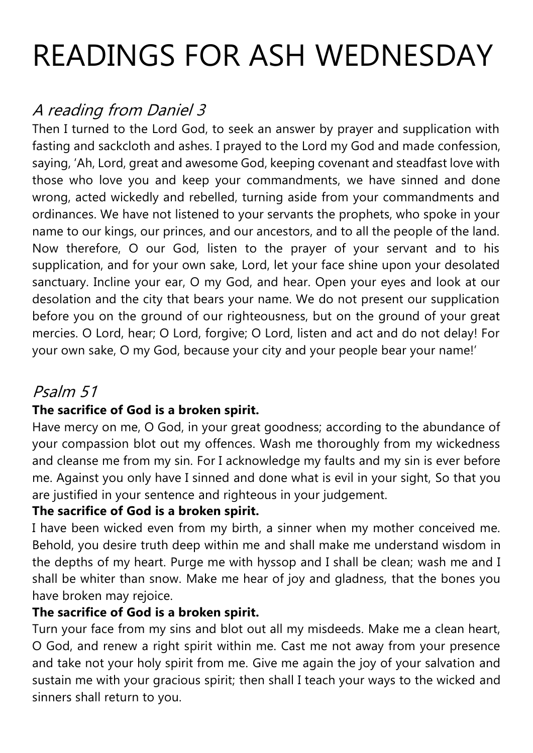# READINGS FOR ASH WEDNESDAY

## A reading from Daniel 3

Then I turned to the Lord God, to seek an answer by prayer and supplication with fasting and sackcloth and ashes. I prayed to the Lord my God and made confession, saying, 'Ah, Lord, great and awesome God, keeping covenant and steadfast love with those who love you and keep your commandments, we have sinned and done wrong, acted wickedly and rebelled, turning aside from your commandments and ordinances. We have not listened to your servants the prophets, who spoke in your name to our kings, our princes, and our ancestors, and to all the people of the land. Now therefore, O our God, listen to the prayer of your servant and to his supplication, and for your own sake, Lord, let your face shine upon your desolated sanctuary. Incline your ear, O my God, and hear. Open your eyes and look at our desolation and the city that bears your name. We do not present our supplication before you on the ground of our righteousness, but on the ground of your great mercies. O Lord, hear; O Lord, forgive; O Lord, listen and act and do not delay! For your own sake, O my God, because your city and your people bear your name!'

### Psalm 51

#### **The sacrifice of God is a broken spirit.**

Have mercy on me, O God, in your great goodness; according to the abundance of your compassion blot out my offences. Wash me thoroughly from my wickedness and cleanse me from my sin. For I acknowledge my faults and my sin is ever before me. Against you only have I sinned and done what is evil in your sight, So that you are justified in your sentence and righteous in your judgement.

#### **The sacrifice of God is a broken spirit.**

I have been wicked even from my birth, a sinner when my mother conceived me. Behold, you desire truth deep within me and shall make me understand wisdom in the depths of my heart. Purge me with hyssop and I shall be clean; wash me and I shall be whiter than snow. Make me hear of joy and gladness, that the bones you have broken may rejoice.

#### **The sacrifice of God is a broken spirit.**

Turn your face from my sins and blot out all my misdeeds. Make me a clean heart, O God, and renew a right spirit within me. Cast me not away from your presence and take not your holy spirit from me. Give me again the joy of your salvation and sustain me with your gracious spirit; then shall I teach your ways to the wicked and sinners shall return to you.